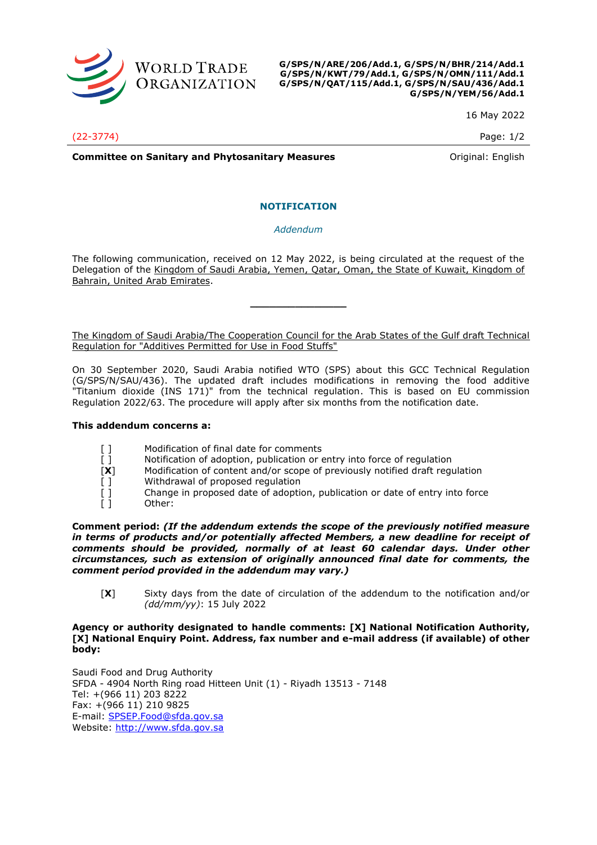

**G/SPS/N/ARE/206/Add.1, G/SPS/N/BHR/214/Add.1 G/SPS/N/KWT/79/Add.1, G/SPS/N/OMN/111/Add.1 G/SPS/N/QAT/115/Add.1, G/SPS/N/SAU/436/Add.1 G/SPS/N/YEM/56/Add.1**

16 May 2022

(22-3774) Page: 1/2

**Committee on Sanitary and Phytosanitary Measures Committee on Sanitary and Phytosanitary Measures Committee And American** 

# **NOTIFICATION**

## *Addendum*

The following communication, received on 12 May 2022, is being circulated at the request of the Delegation of the Kingdom of Saudi Arabia, Yemen, Qatar, Oman, the State of Kuwait, Kingdom of Bahrain, United Arab Emirates.

**\_\_\_\_\_\_\_\_\_\_\_\_\_\_\_**

The Kingdom of Saudi Arabia/The Cooperation Council for the Arab States of the Gulf draft Technical Regulation for "Additives Permitted for Use in Food Stuffs"

On 30 September 2020, Saudi Arabia notified WTO (SPS) about this GCC Technical Regulation (G/SPS/N/SAU/436). The updated draft includes modifications in removing the food additive "Titanium dioxide (INS 171)" from the technical regulation. This is based on EU commission Regulation 2022/63. The procedure will apply after six months from the notification date.

#### **This addendum concerns a:**

- [ ] Modification of final date for comments
- [] Notification of adoption, publication or entry into force of regulation
- [**X**] Modification of content and/or scope of previously notified draft regulation
- 
- [ ] Withdrawal of proposed regulation<br>
[ ] Change in proposed date of adoption<br>
[ ] Other: Change in proposed date of adoption, publication or date of entry into force Other:

**Comment period:** *(If the addendum extends the scope of the previously notified measure*  in terms of products and/or potentially affected Members, a new deadline for receipt of *comments should be provided, normally of at least 60 calendar days. Under other circumstances, such as extension of originally announced final date for comments, the comment period provided in the addendum may vary.)*

[**X**] Sixty days from the date of circulation of the addendum to the notification and/or *(dd/mm/yy)*: 15 July 2022

# **Agency or authority designated to handle comments: [X] National Notification Authority, [X] National Enquiry Point. Address, fax number and e-mail address (if available) of other body:**

Saudi Food and Drug Authority SFDA - 4904 North Ring road Hitteen Unit (1) - Riyadh 13513 - 7148 Tel: +(966 11) 203 8222 Fax: +(966 11) 210 9825 E-mail: [SPSEP.Food@sfda.gov.sa](mailto:SPSEP.Food@sfda.gov.sa) Website: [http://www.sfda.gov.sa](http://www.sfda.gov.sa/)